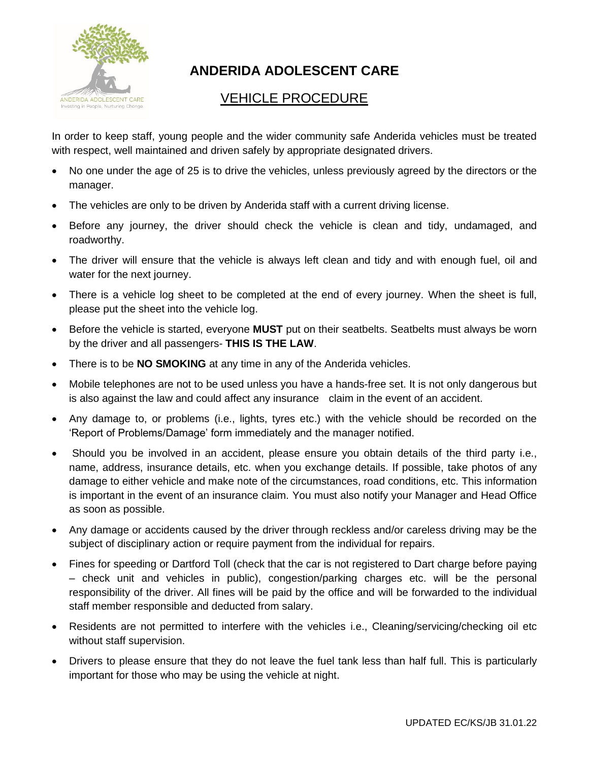

## **ANDERIDA ADOLESCENT CARE**

## VEHICLE PROCEDURE

In order to keep staff, young people and the wider community safe Anderida vehicles must be treated with respect, well maintained and driven safely by appropriate designated drivers.

- No one under the age of 25 is to drive the vehicles, unless previously agreed by the directors or the manager.
- The vehicles are only to be driven by Anderida staff with a current driving license.
- Before any journey, the driver should check the vehicle is clean and tidy, undamaged, and roadworthy.
- The driver will ensure that the vehicle is always left clean and tidy and with enough fuel, oil and water for the next journey.
- There is a vehicle log sheet to be completed at the end of every journey. When the sheet is full, please put the sheet into the vehicle log.
- Before the vehicle is started, everyone **MUST** put on their seatbelts. Seatbelts must always be worn by the driver and all passengers- **THIS IS THE LAW**.
- There is to be **NO SMOKING** at any time in any of the Anderida vehicles.
- Mobile telephones are not to be used unless you have a hands-free set. It is not only dangerous but is also against the law and could affect any insurance claim in the event of an accident.
- Any damage to, or problems (i.e., lights, tyres etc.) with the vehicle should be recorded on the 'Report of Problems/Damage' form immediately and the manager notified.
- Should you be involved in an accident, please ensure you obtain details of the third party i.e., name, address, insurance details, etc. when you exchange details. If possible, take photos of any damage to either vehicle and make note of the circumstances, road conditions, etc. This information is important in the event of an insurance claim. You must also notify your Manager and Head Office as soon as possible.
- Any damage or accidents caused by the driver through reckless and/or careless driving may be the subject of disciplinary action or require payment from the individual for repairs.
- Fines for speeding or Dartford Toll (check that the car is not registered to Dart charge before paying – check unit and vehicles in public), congestion/parking charges etc. will be the personal responsibility of the driver. All fines will be paid by the office and will be forwarded to the individual staff member responsible and deducted from salary.
- Residents are not permitted to interfere with the vehicles i.e., Cleaning/servicing/checking oil etc without staff supervision.
- Drivers to please ensure that they do not leave the fuel tank less than half full. This is particularly important for those who may be using the vehicle at night.